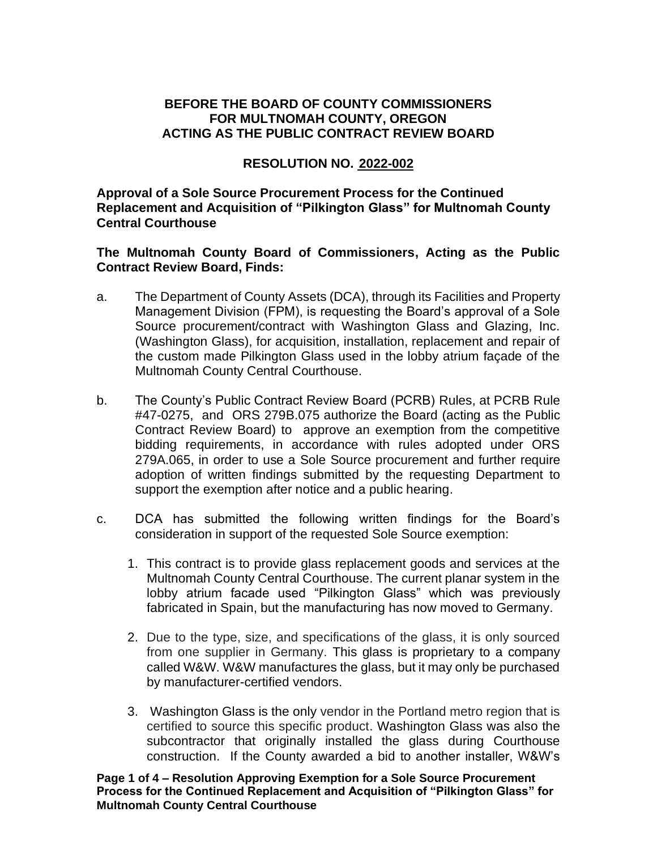## **BEFORE THE BOARD OF COUNTY COMMISSIONERS FOR MULTNOMAH COUNTY, OREGON ACTING AS THE PUBLIC CONTRACT REVIEW BOARD**

## **RESOLUTION NO. 2022-002**

**Approval of a Sole Source Procurement Process for the Continued Replacement and Acquisition of "Pilkington Glass" for Multnomah County Central Courthouse**

## **The Multnomah County Board of Commissioners, Acting as the Public Contract Review Board, Finds:**

- a. The Department of County Assets (DCA), through its Facilities and Property Management Division (FPM), is requesting the Board's approval of a Sole Source procurement/contract with Washington Glass and Glazing, Inc. (Washington Glass), for acquisition, installation, replacement and repair of the custom made Pilkington Glass used in the lobby atrium façade of the Multnomah County Central Courthouse.
- b. The County's Public Contract Review Board (PCRB) Rules, at PCRB Rule #47-0275, and ORS 279B.075 authorize the Board (acting as the Public Contract Review Board) to approve an exemption from the competitive bidding requirements, in accordance with rules adopted under ORS 279A.065, in order to use a Sole Source procurement and further require adoption of written findings submitted by the requesting Department to support the exemption after notice and a public hearing.
- c. DCA has submitted the following written findings for the Board's consideration in support of the requested Sole Source exemption:
	- 1. This contract is to provide glass replacement goods and services at the Multnomah County Central Courthouse. The current planar system in the lobby atrium facade used "Pilkington Glass" which was previously fabricated in Spain, but the manufacturing has now moved to Germany.
	- 2. Due to the type, size, and specifications of the glass, it is only sourced from one supplier in Germany. This glass is proprietary to a company called W&W. W&W manufactures the glass, but it may only be purchased by manufacturer-certified vendors.
	- 3. Washington Glass is the only vendor in the Portland metro region that is certified to source this specific product. Washington Glass was also the subcontractor that originally installed the glass during Courthouse construction. If the County awarded a bid to another installer, W&W's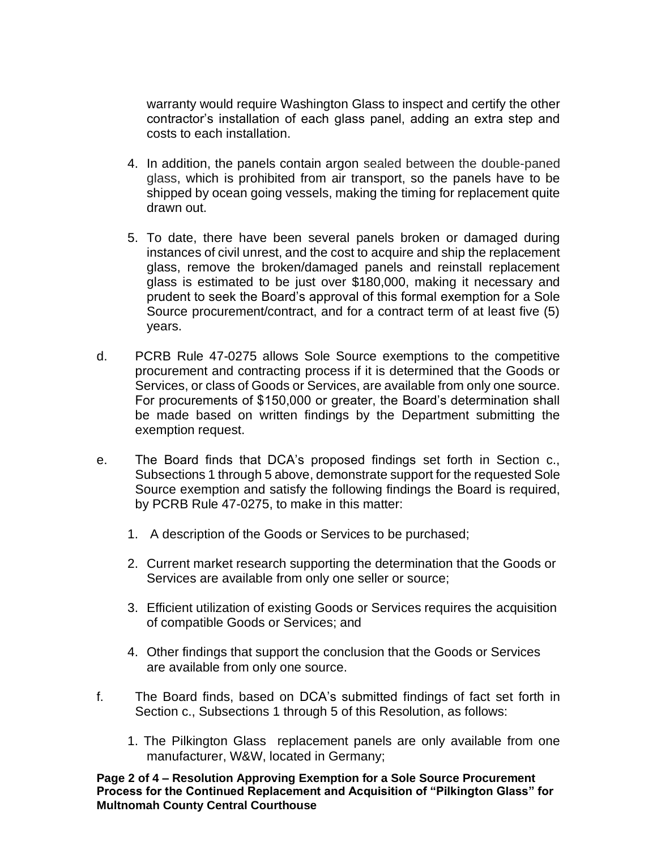warranty would require Washington Glass to inspect and certify the other contractor's installation of each glass panel, adding an extra step and costs to each installation.

- 4. In addition, the panels contain argon sealed between the double-paned glass, which is prohibited from air transport, so the panels have to be shipped by ocean going vessels, making the timing for replacement quite drawn out.
- 5. To date, there have been several panels broken or damaged during instances of civil unrest, and the cost to acquire and ship the replacement glass, remove the broken/damaged panels and reinstall replacement glass is estimated to be just over \$180,000, making it necessary and prudent to seek the Board's approval of this formal exemption for a Sole Source procurement/contract, and for a contract term of at least five (5) years.
- d. PCRB Rule 47-0275 allows Sole Source exemptions to the competitive procurement and contracting process if it is determined that the Goods or Services, or class of Goods or Services, are available from only one source. For procurements of \$150,000 or greater, the Board's determination shall be made based on written findings by the Department submitting the exemption request.
- e. The Board finds that DCA's proposed findings set forth in Section c., Subsections 1 through 5 above, demonstrate support for the requested Sole Source exemption and satisfy the following findings the Board is required, by PCRB Rule 47-0275, to make in this matter:
	- 1. A description of the Goods or Services to be purchased;
	- 2. Current market research supporting the determination that the Goods or Services are available from only one seller or source;
	- 3. Efficient utilization of existing Goods or Services requires the acquisition of compatible Goods or Services; and
	- 4. Other findings that support the conclusion that the Goods or Services are available from only one source.
- f. The Board finds, based on DCA's submitted findings of fact set forth in Section c., Subsections 1 through 5 of this Resolution, as follows:
	- 1. The Pilkington Glass replacement panels are only available from one manufacturer, W&W, located in Germany;

**Page 2 of 4 – Resolution Approving Exemption for a Sole Source Procurement Process for the Continued Replacement and Acquisition of "Pilkington Glass" for Multnomah County Central Courthouse**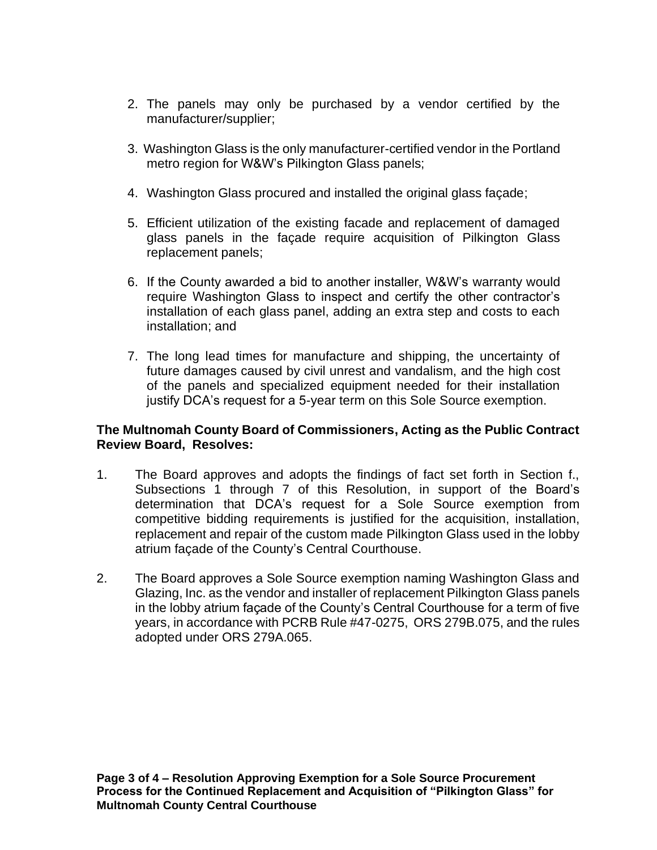- 2. The panels may only be purchased by a vendor certified by the manufacturer/supplier;
- 3. Washington Glass is the only manufacturer-certified vendor in the Portland metro region for W&W's Pilkington Glass panels;
- 4. Washington Glass procured and installed the original glass façade;
- 5. Efficient utilization of the existing facade and replacement of damaged glass panels in the façade require acquisition of Pilkington Glass replacement panels;
- 6. If the County awarded a bid to another installer, W&W's warranty would require Washington Glass to inspect and certify the other contractor's installation of each glass panel, adding an extra step and costs to each installation; and
- 7. The long lead times for manufacture and shipping, the uncertainty of future damages caused by civil unrest and vandalism, and the high cost of the panels and specialized equipment needed for their installation justify DCA's request for a 5-year term on this Sole Source exemption.

## **The Multnomah County Board of Commissioners, Acting as the Public Contract Review Board, Resolves:**

- 1. The Board approves and adopts the findings of fact set forth in Section f., Subsections 1 through 7 of this Resolution, in support of the Board's determination that DCA's request for a Sole Source exemption from competitive bidding requirements is justified for the acquisition, installation, replacement and repair of the custom made Pilkington Glass used in the lobby atrium façade of the County's Central Courthouse.
- 2. The Board approves a Sole Source exemption naming Washington Glass and Glazing, Inc. as the vendor and installer of replacement Pilkington Glass panels in the lobby atrium façade of the County's Central Courthouse for a term of five years, in accordance with PCRB Rule #47-0275, ORS 279B.075, and the rules adopted under ORS 279A.065.